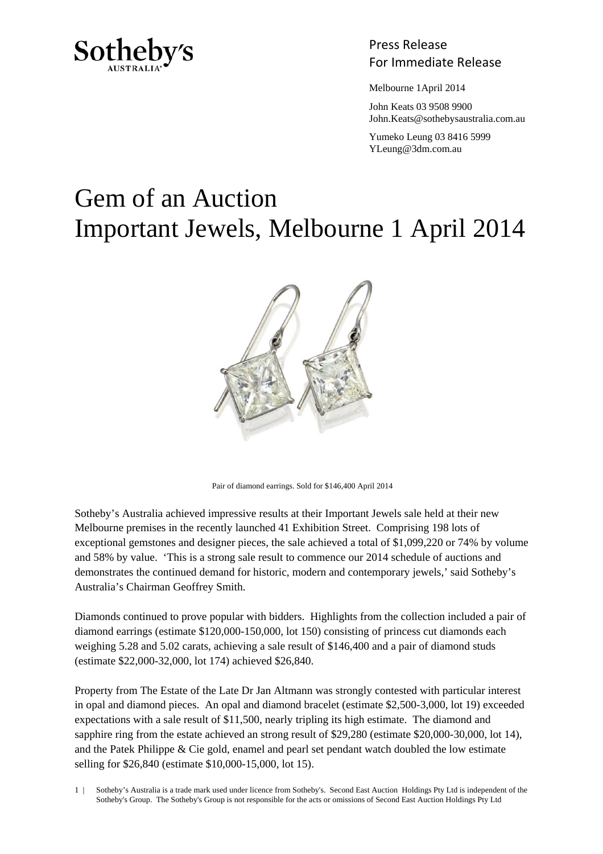

Press Release Sotheby's<br>For Immediate Release

Melbourne 1April 2014

 John Keats 03 9508 9900 John.Keats@sothebysaustralia.com.au

 Yumeko Leung 03 8416 5999 YLeung@3dm.com.au

## Gem of an Auction Important Jewels, Melbourne 1 April 2014



Pair of diamond earrings. Sold for \$146,400 April 2014

Sotheby's Australia achieved impressive results at their Important Jewels sale held at their new Melbourne premises in the recently launched 41 Exhibition Street. Comprising 198 lots of exceptional gemstones and designer pieces, the sale achieved a total of \$1,099,220 or 74% by volume and 58% by value. 'This is a strong sale result to commence our 2014 schedule of auctions and demonstrates the continued demand for historic, modern and contemporary jewels,' said Sotheby's Australia's Chairman Geoffrey Smith.

Diamonds continued to prove popular with bidders. Highlights from the collection included a pair of diamond earrings (estimate \$120,000-150,000, lot 150) consisting of princess cut diamonds each weighing 5.28 and 5.02 carats, achieving a sale result of \$146,400 and a pair of diamond studs (estimate \$22,000-32,000, lot 174) achieved \$26,840.

Property from The Estate of the Late Dr Jan Altmann was strongly contested with particular interest in opal and diamond pieces. An opal and diamond bracelet (estimate \$2,500-3,000, lot 19) exceeded expectations with a sale result of \$11,500, nearly tripling its high estimate. The diamond and sapphire ring from the estate achieved an strong result of \$29,280 (estimate \$20,000-30,000, lot 14), and the Patek Philippe & Cie gold, enamel and pearl set pendant watch doubled the low estimate selling for \$26,840 (estimate \$10,000-15,000, lot 15).

1 | Sotheby's Australia is a trade mark used under licence from Sotheby's. Second East Auction Holdings Pty Ltd is independent of the Sotheby's Group. The Sotheby's Group is not responsible for the acts or omissions of Second East Auction Holdings Pty Ltd